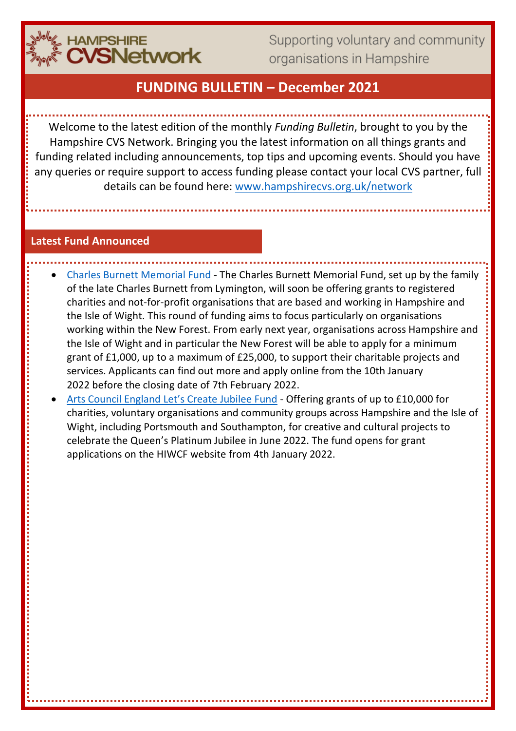

Supporting voluntary and community organisations in Hampshire

# **FUNDING BULLETIN – December 2021**

Welcome to the latest edition of the monthly *Funding Bulletin*, brought to you by the Hampshire CVS Network. Bringing you the latest information on all things grants and funding related including announcements, top tips and upcoming events. Should you have any queries or require support to access funding please contact your local CVS partner, full details can be found here: [www.hampshirecvs.org.uk/network](http://www.hampshirecvs.org.uk/network)

#### **Latest Fund Announced**

- [Charles Burnett Memorial Fund](http://www.hiwcf.org.uk/grants/) The Charles Burnett Memorial Fund, set up by the family of the late Charles Burnett from Lymington, will soon be offering grants to registered charities and not-for-profit organisations that are based and working in Hampshire and the Isle of Wight. This round of funding aims to focus particularly on organisations working within the New Forest. From early next year, organisations across Hampshire and the Isle of Wight and in particular the New Forest will be able to apply for a minimum grant of £1,000, up to a maximum of £25,000, to support their charitable projects and services. Applicants can find out more and apply online from the 10th January 2022 before the closing date of 7th February 2022.
- [Arts Council England Let's Create Jubilee Fund](http://www.hiwcf.org.uk/ace-funding-queens-platinum-jubilee/) Offering grants of up to £10,000 for charities, voluntary organisations and community groups across Hampshire and the Isle of Wight, including Portsmouth and Southampton, for creative and cultural projects to celebrate the Queen's Platinum Jubilee in June 2022. The fund opens for grant applications on the HIWCF website from 4th January 2022.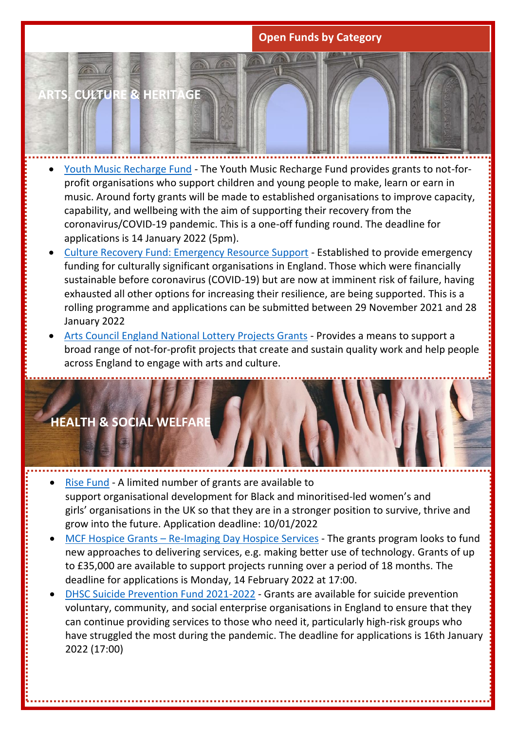### **Open Funds by Category**



- [Youth Music Recharge Fund](https://youthmusic.org.uk/recharge-fund) The Youth Music Recharge Fund provides grants to not-forprofit organisations who support children and young people to make, learn or earn in music. Around forty grants will be made to established organisations to improve capacity, capability, and wellbeing with the aim of supporting their recovery from the coronavirus/COVID-19 pandemic. This is a one-off funding round. The deadline for applications is 14 January 2022 (5pm).
- [Culture Recovery Fund: Emergency Resource Support](https://www.artscouncil.org.uk/funding/culture-recovery-fund-emergency-resource-support-round-two#section-1) Established to provide emergency funding for culturally significant organisations in England. Those which were financially sustainable before coronavirus (COVID-19) but are now at imminent risk of failure, having exhausted all other options for increasing their resilience, are being supported. This is a rolling programme and applications can be submitted between 29 November 2021 and 28 January 2022
- [Arts Council England National Lottery Projects Grants](https://www.artscouncil.org.uk/ProjectGrants) Provides a means to support a broad range of not-for-profit projects that create and sustain quality work and help people across England to engage with arts and culture.



- [Rise Fund](https://rosauk.org/funds/rise-fund/) A limited number of grants are available to support organisational development for Black and minoritised-led women's and girls' organisations in the UK so that they are in a stronger position to survive, thrive and grow into the future. Application deadline: 10/01/2022
- MCF Hospice Grants [Re-Imaging Day Hospice Services](https://professionals.hospiceuk.org/what-we-offer/grants/open-grant-programmes) The grants program looks to fund new approaches to delivering services, e.g. making better use of technology. Grants of up to £35,000 are available to support projects running over a period of 18 months. The deadline for applications is Monday, 14 February 2022 at 17:00.
- DHSC [Suicide Prevention Fund 2021-2022](https://www.gov.uk/government/publications/suicide-prevention-fund-2021-to-2022) Grants are available for suicide prevention voluntary, community, and social enterprise organisations in England to ensure that they can continue providing services to those who need it, particularly high-risk groups who have struggled the most during the pandemic. The deadline for applications is 16th January 2022 (17:00)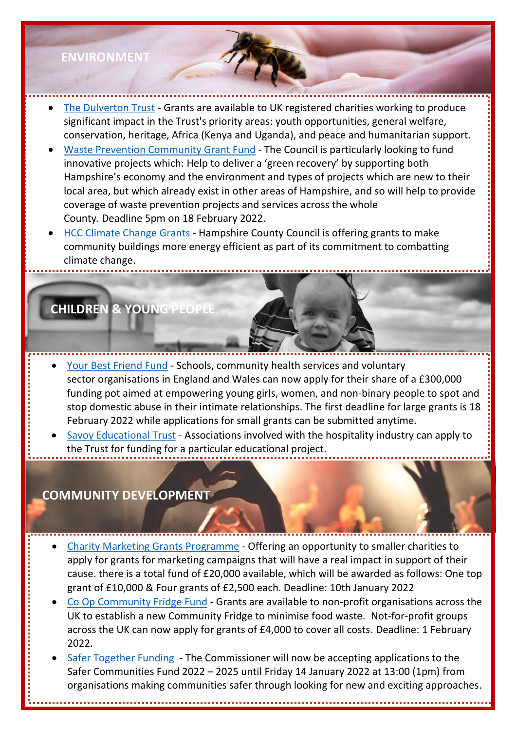## **ENVIRONMENT**

- [The Dulverton Trust](https://www.dulverton.org/) Grants are available to UK registered charities working to produce significant impact in the Trust's priority areas: youth opportunities, general welfare, conservation, heritage, Africa (Kenya and Uganda), and peace and humanitarian support.
- [Waste Prevention Community Grant Fund](https://www.hants.gov.uk/community/grants/grants-list/waste-prevention-community) The Council is particularly looking to fund innovative projects which: Help to deliver a 'green recovery' by supporting both Hampshire's economy and the environment and types of projects which are new to their local area, but which already exist in other areas of Hampshire, and so will help to provide coverage of waste prevention projects and services across the whole County. Deadline 5pm on 18 February 2022.
- [HCC Climate Change Grants](https://www.hants.gov.uk/News/20211028climatechangegrants) Hampshire County Council is offering grants to make community buildings more energy efficient as part of its commitment to combatting climate change.

## **CHILDREN & YOUNG PEOPLE**

- [Your Best Friend Fund](https://yourbestfriend.org.uk/fund) Schools, community health services and voluntary sector organisations in England and Wales can now apply for their share of a £300,000 funding pot aimed at empowering young girls, women, and non-binary people to spot and stop domestic abuse in their intimate relationships. The first deadline for large grants is 18 February 2022 while applications for small grants can be submitted anytime.
- [Savoy Educational Trust](https://www.savoyeducationaltrust.org.uk/how-to-apply.cfm) Associations involved with the hospitality industry can apply to the Trust for funding for a particular educational project.

## **COMMUNITY DEVELOPMENT**

- [Charity Marketing Grants Programme](https://www.marketors.org/Marketors-Trust/Charity-Marketing-Grants?utm_campaign=wo&utm_content=1636725420&utm_medium=linkedin&utm_source=The+Worshipful+Company+of+Marketors&mc_cid=d8079db0a3&mc_eid=6ef5790e92) Offering an opportunity to smaller charities to apply for grants for marketing campaigns that will have a real impact in support of their cause. there is a total fund of £20,000 available, which will be awarded as follows: One top grant of £10,000 & Four grants of £2,500 each. Deadline: 10th January 2022
- [Co Op Community Fridge Fund](https://co-operate.coop.co.uk/apply-for-funding-to-set-up-a-fridge/) Grants are available to non-profit organisations across the UK to establish a new Community Fridge to minimise food waste. Not-for-profit groups across the UK can now apply for grants of £4,000 to cover all costs. Deadline: 1 February 2022.
- [Safer Together Funding](https://www.hampshire-pcc.gov.uk/safer-together/funding/apply-for-funding) The Commissioner will now be accepting applications to the Safer Communities Fund 2022 – 2025 until Friday 14 January 2022 at 13:00 (1pm) from organisations making communities safer through looking for new and exciting approaches.